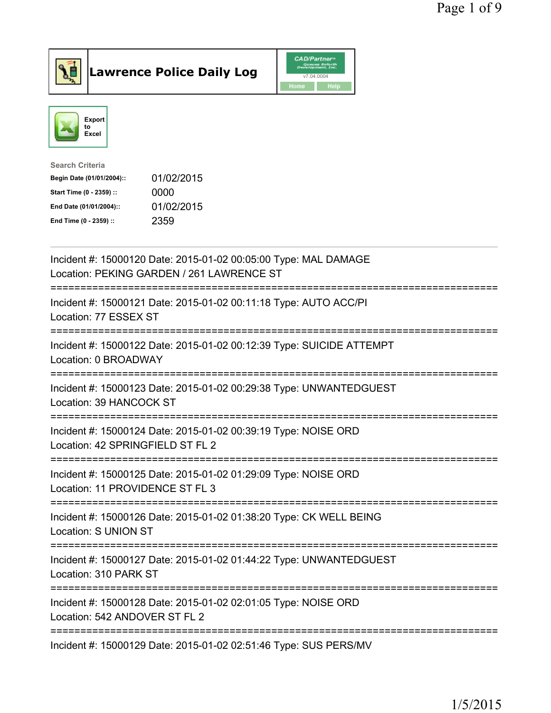



| <b>Search Criteria</b>    |            |
|---------------------------|------------|
| Begin Date (01/01/2004):: | 01/02/2015 |
| Start Time (0 - 2359) ::  | 0000       |
| End Date (01/01/2004)::   | 01/02/2015 |
| End Time (0 - 2359) ::    | 2359       |
|                           |            |

| Incident #: 15000120 Date: 2015-01-02 00:05:00 Type: MAL DAMAGE<br>Location: PEKING GARDEN / 261 LAWRENCE ST                  |
|-------------------------------------------------------------------------------------------------------------------------------|
| Incident #: 15000121 Date: 2015-01-02 00:11:18 Type: AUTO ACC/PI<br>Location: 77 ESSEX ST                                     |
| Incident #: 15000122 Date: 2015-01-02 00:12:39 Type: SUICIDE ATTEMPT<br>Location: 0 BROADWAY                                  |
| Incident #: 15000123 Date: 2015-01-02 00:29:38 Type: UNWANTEDGUEST<br>Location: 39 HANCOCK ST                                 |
| Incident #: 15000124 Date: 2015-01-02 00:39:19 Type: NOISE ORD<br>Location: 42 SPRINGFIELD ST FL 2                            |
| Incident #: 15000125 Date: 2015-01-02 01:29:09 Type: NOISE ORD<br>Location: 11 PROVIDENCE ST FL 3                             |
| Incident #: 15000126 Date: 2015-01-02 01:38:20 Type: CK WELL BEING<br>Location: S UNION ST<br>------------------------------- |
| Incident #: 15000127 Date: 2015-01-02 01:44:22 Type: UNWANTEDGUEST<br>Location: 310 PARK ST<br>-------------------            |
| Incident #: 15000128 Date: 2015-01-02 02:01:05 Type: NOISE ORD<br>Location: 542 ANDOVER ST FL 2                               |
| Incident #: 15000129 Date: 2015-01-02 02:51:46 Type: SUS PERS/MV                                                              |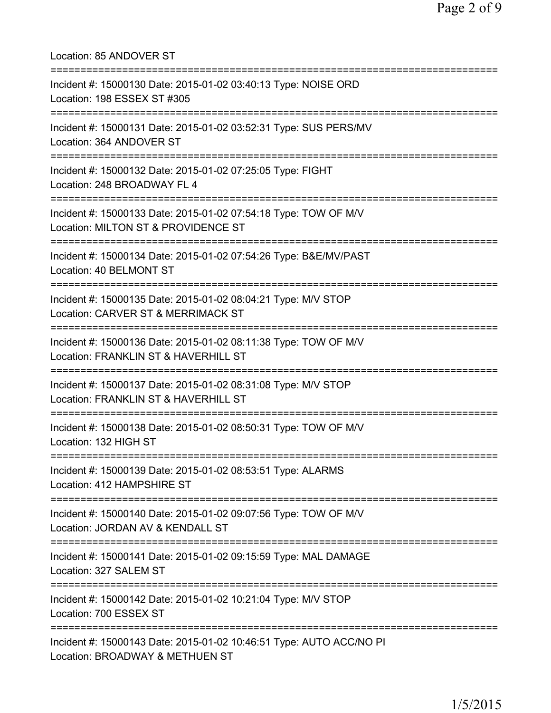| Location: 85 ANDOVER ST<br>====================================                                                                            |
|--------------------------------------------------------------------------------------------------------------------------------------------|
| Incident #: 15000130 Date: 2015-01-02 03:40:13 Type: NOISE ORD<br>Location: 198 ESSEX ST #305                                              |
| Incident #: 15000131 Date: 2015-01-02 03:52:31 Type: SUS PERS/MV<br>Location: 364 ANDOVER ST<br>===================                        |
| Incident #: 15000132 Date: 2015-01-02 07:25:05 Type: FIGHT<br>Location: 248 BROADWAY FL 4<br>:======================                       |
| Incident #: 15000133 Date: 2015-01-02 07:54:18 Type: TOW OF M/V<br>Location: MILTON ST & PROVIDENCE ST                                     |
| Incident #: 15000134 Date: 2015-01-02 07:54:26 Type: B&E/MV/PAST<br>Location: 40 BELMONT ST                                                |
| Incident #: 15000135 Date: 2015-01-02 08:04:21 Type: M/V STOP<br>Location: CARVER ST & MERRIMACK ST                                        |
| Incident #: 15000136 Date: 2015-01-02 08:11:38 Type: TOW OF M/V<br>Location: FRANKLIN ST & HAVERHILL ST<br>=============================== |
| Incident #: 15000137 Date: 2015-01-02 08:31:08 Type: M/V STOP<br>Location: FRANKLIN ST & HAVERHILL ST<br>============================      |
| Incident #: 15000138 Date: 2015-01-02 08:50:31 Type: TOW OF M/V<br>Location: 132 HIGH ST                                                   |
| Incident #: 15000139 Date: 2015-01-02 08:53:51 Type: ALARMS<br>Location: 412 HAMPSHIRE ST                                                  |
| Incident #: 15000140 Date: 2015-01-02 09:07:56 Type: TOW OF M/V<br>Location: JORDAN AV & KENDALL ST                                        |
| Incident #: 15000141 Date: 2015-01-02 09:15:59 Type: MAL DAMAGE<br>Location: 327 SALEM ST                                                  |
| Incident #: 15000142 Date: 2015-01-02 10:21:04 Type: M/V STOP<br>Location: 700 ESSEX ST                                                    |
| Incident #: 15000143 Date: 2015-01-02 10:46:51 Type: AUTO ACC/NO PI<br>Location: BROADWAY & METHUEN ST                                     |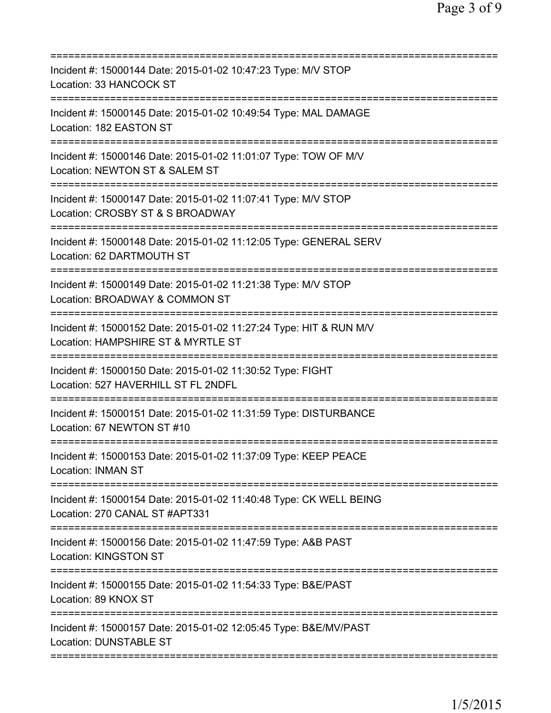| Incident #: 15000144 Date: 2015-01-02 10:47:23 Type: M/V STOP<br>Location: 33 HANCOCK ST                                      |
|-------------------------------------------------------------------------------------------------------------------------------|
| Incident #: 15000145 Date: 2015-01-02 10:49:54 Type: MAL DAMAGE<br>Location: 182 EASTON ST                                    |
| Incident #: 15000146 Date: 2015-01-02 11:01:07 Type: TOW OF M/V<br>Location: NEWTON ST & SALEM ST                             |
| Incident #: 15000147 Date: 2015-01-02 11:07:41 Type: M/V STOP<br>Location: CROSBY ST & S BROADWAY                             |
| ===========================<br>Incident #: 15000148 Date: 2015-01-02 11:12:05 Type: GENERAL SERV<br>Location: 62 DARTMOUTH ST |
| Incident #: 15000149 Date: 2015-01-02 11:21:38 Type: M/V STOP<br>Location: BROADWAY & COMMON ST                               |
| Incident #: 15000152 Date: 2015-01-02 11:27:24 Type: HIT & RUN M/V<br>Location: HAMPSHIRE ST & MYRTLE ST                      |
| Incident #: 15000150 Date: 2015-01-02 11:30:52 Type: FIGHT<br>Location: 527 HAVERHILL ST FL 2NDFL                             |
| Incident #: 15000151 Date: 2015-01-02 11:31:59 Type: DISTURBANCE<br>Location: 67 NEWTON ST #10                                |
| Incident #: 15000153 Date: 2015-01-02 11:37:09 Type: KEEP PEACE<br><b>Location: INMAN ST</b>                                  |
| Incident #: 15000154 Date: 2015-01-02 11:40:48 Type: CK WELL BEING<br>Location: 270 CANAL ST #APT331                          |
| Incident #: 15000156 Date: 2015-01-02 11:47:59 Type: A&B PAST<br><b>Location: KINGSTON ST</b>                                 |
| Incident #: 15000155 Date: 2015-01-02 11:54:33 Type: B&E/PAST<br>Location: 89 KNOX ST                                         |
| Incident #: 15000157 Date: 2015-01-02 12:05:45 Type: B&E/MV/PAST<br><b>Location: DUNSTABLE ST</b>                             |
|                                                                                                                               |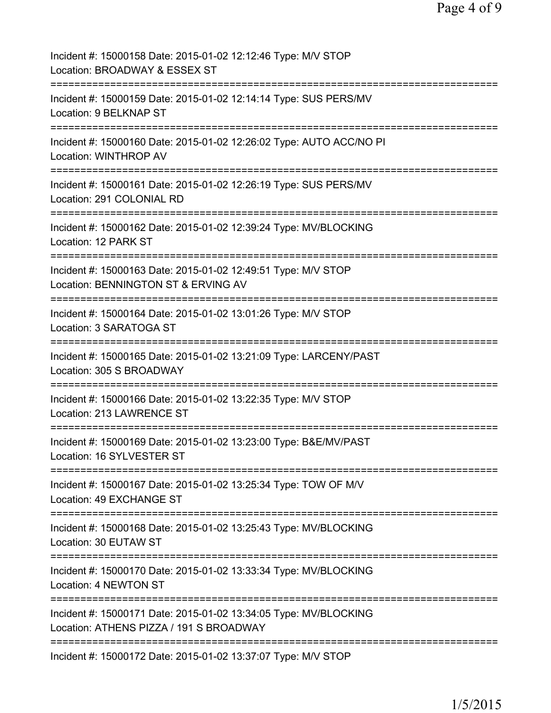| Incident #: 15000158 Date: 2015-01-02 12:12:46 Type: M/V STOP<br>Location: BROADWAY & ESSEX ST              |
|-------------------------------------------------------------------------------------------------------------|
| Incident #: 15000159 Date: 2015-01-02 12:14:14 Type: SUS PERS/MV<br>Location: 9 BELKNAP ST                  |
| Incident #: 15000160 Date: 2015-01-02 12:26:02 Type: AUTO ACC/NO PI<br>Location: WINTHROP AV                |
| Incident #: 15000161 Date: 2015-01-02 12:26:19 Type: SUS PERS/MV<br>Location: 291 COLONIAL RD               |
| Incident #: 15000162 Date: 2015-01-02 12:39:24 Type: MV/BLOCKING<br>Location: 12 PARK ST                    |
| Incident #: 15000163 Date: 2015-01-02 12:49:51 Type: M/V STOP<br>Location: BENNINGTON ST & ERVING AV        |
| Incident #: 15000164 Date: 2015-01-02 13:01:26 Type: M/V STOP<br>Location: 3 SARATOGA ST                    |
| Incident #: 15000165 Date: 2015-01-02 13:21:09 Type: LARCENY/PAST<br>Location: 305 S BROADWAY               |
| Incident #: 15000166 Date: 2015-01-02 13:22:35 Type: M/V STOP<br>Location: 213 LAWRENCE ST                  |
| Incident #: 15000169 Date: 2015-01-02 13:23:00 Type: B&E/MV/PAST<br>Location: 16 SYLVESTER ST               |
| Incident #: 15000167 Date: 2015-01-02 13:25:34 Type: TOW OF M/V<br>Location: 49 EXCHANGE ST                 |
| Incident #: 15000168 Date: 2015-01-02 13:25:43 Type: MV/BLOCKING<br>Location: 30 EUTAW ST                   |
| Incident #: 15000170 Date: 2015-01-02 13:33:34 Type: MV/BLOCKING<br>Location: 4 NEWTON ST                   |
| Incident #: 15000171 Date: 2015-01-02 13:34:05 Type: MV/BLOCKING<br>Location: ATHENS PIZZA / 191 S BROADWAY |
| Incident #: 15000172 Date: 2015-01-02 13:37:07 Type: M/V STOP                                               |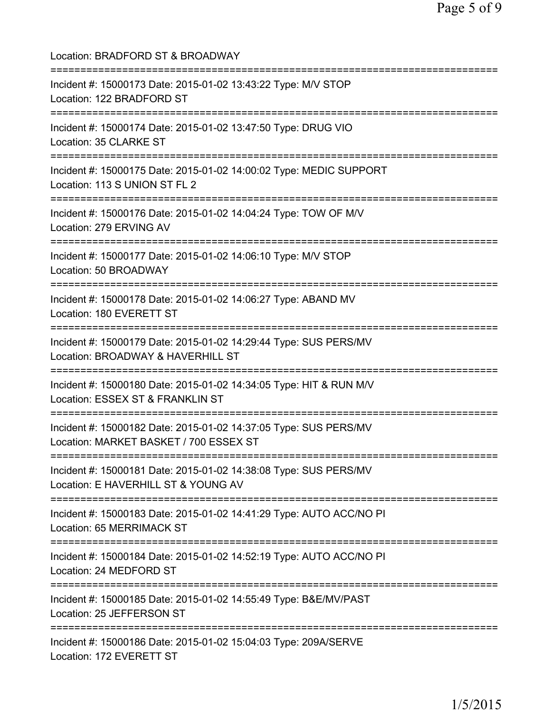Location: BRADFORD ST & BROADWAY =========================================================================== Incident #: 15000173 Date: 2015-01-02 13:43:22 Type: M/V STOP Location: 122 BRADFORD ST =========================================================================== Incident #: 15000174 Date: 2015-01-02 13:47:50 Type: DRUG VIO Location: 35 CLARKE ST =========================================================================== Incident #: 15000175 Date: 2015-01-02 14:00:02 Type: MEDIC SUPPORT Location: 113 S UNION ST FL 2 =========================================================================== Incident #: 15000176 Date: 2015-01-02 14:04:24 Type: TOW OF M/V Location: 279 ERVING AV =========================================================================== Incident #: 15000177 Date: 2015-01-02 14:06:10 Type: M/V STOP Location: 50 BROADWAY =========================================================================== Incident #: 15000178 Date: 2015-01-02 14:06:27 Type: ABAND MV Location: 180 EVERETT ST =========================================================================== Incident #: 15000179 Date: 2015-01-02 14:29:44 Type: SUS PERS/MV Location: BROADWAY & HAVERHILL ST =========================================================================== Incident #: 15000180 Date: 2015-01-02 14:34:05 Type: HIT & RUN M/V Location: ESSEX ST & FRANKLIN ST =========================================================================== Incident #: 15000182 Date: 2015-01-02 14:37:05 Type: SUS PERS/MV Location: MARKET BASKET / 700 ESSEX ST =========================================================================== Incident #: 15000181 Date: 2015-01-02 14:38:08 Type: SUS PERS/MV Location: E HAVERHILL ST & YOUNG AV =========================================================================== Incident #: 15000183 Date: 2015-01-02 14:41:29 Type: AUTO ACC/NO PI Location: 65 MERRIMACK ST =========================================================================== Incident #: 15000184 Date: 2015-01-02 14:52:19 Type: AUTO ACC/NO PI Location: 24 MEDFORD ST =========================================================================== Incident #: 15000185 Date: 2015-01-02 14:55:49 Type: B&E/MV/PAST Location: 25 JEFFERSON ST =========================================================================== Incident #: 15000186 Date: 2015-01-02 15:04:03 Type: 209A/SERVE Location: 172 EVERETT ST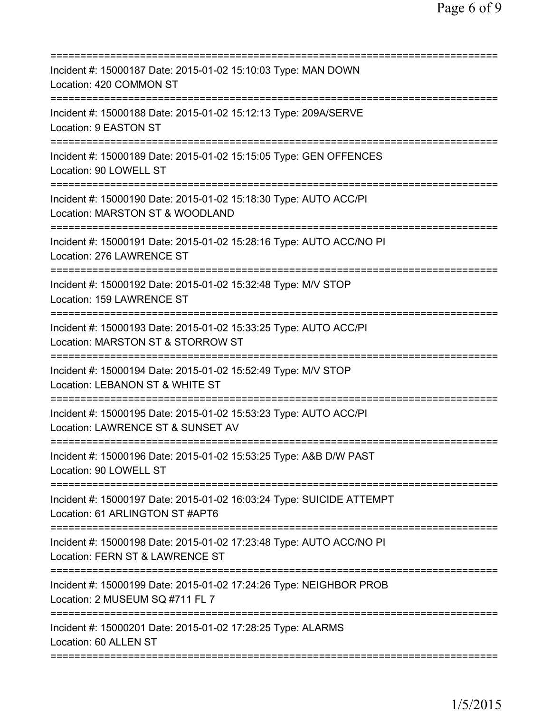| Incident #: 15000187 Date: 2015-01-02 15:10:03 Type: MAN DOWN<br>Location: 420 COMMON ST<br>===================                                           |
|-----------------------------------------------------------------------------------------------------------------------------------------------------------|
| Incident #: 15000188 Date: 2015-01-02 15:12:13 Type: 209A/SERVE<br>Location: 9 EASTON ST                                                                  |
| Incident #: 15000189 Date: 2015-01-02 15:15:05 Type: GEN OFFENCES<br>Location: 90 LOWELL ST                                                               |
| Incident #: 15000190 Date: 2015-01-02 15:18:30 Type: AUTO ACC/PI<br>Location: MARSTON ST & WOODLAND                                                       |
| Incident #: 15000191 Date: 2015-01-02 15:28:16 Type: AUTO ACC/NO PI<br>Location: 276 LAWRENCE ST                                                          |
| Incident #: 15000192 Date: 2015-01-02 15:32:48 Type: M/V STOP<br>Location: 159 LAWRENCE ST                                                                |
| Incident #: 15000193 Date: 2015-01-02 15:33:25 Type: AUTO ACC/PI<br>Location: MARSTON ST & STORROW ST<br>================================<br>============ |
| Incident #: 15000194 Date: 2015-01-02 15:52:49 Type: M/V STOP<br>Location: LEBANON ST & WHITE ST<br>=========================<br>-------------            |
| Incident #: 15000195 Date: 2015-01-02 15:53:23 Type: AUTO ACC/PI<br>Location: LAWRENCE ST & SUNSET AV                                                     |
| Incident #: 15000196 Date: 2015-01-02 15:53:25 Type: A&B D/W PAST<br>Location: 90 LOWELL ST                                                               |
| Incident #: 15000197 Date: 2015-01-02 16:03:24 Type: SUICIDE ATTEMPT<br>Location: 61 ARLINGTON ST #APT6                                                   |
| Incident #: 15000198 Date: 2015-01-02 17:23:48 Type: AUTO ACC/NO PI<br>Location: FERN ST & LAWRENCE ST                                                    |
| Incident #: 15000199 Date: 2015-01-02 17:24:26 Type: NEIGHBOR PROB<br>Location: 2 MUSEUM SQ #711 FL 7                                                     |
| =========================<br>Incident #: 15000201 Date: 2015-01-02 17:28:25 Type: ALARMS<br>Location: 60 ALLEN ST                                         |
|                                                                                                                                                           |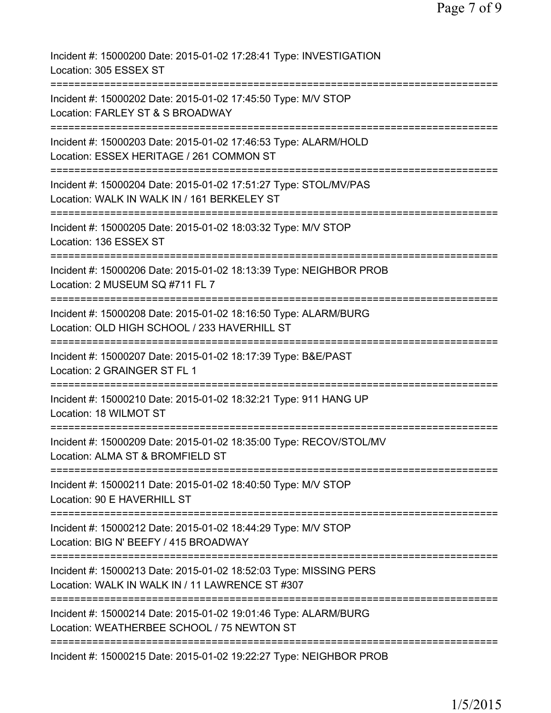| Incident #: 15000200 Date: 2015-01-02 17:28:41 Type: INVESTIGATION<br>Location: 305 ESSEX ST                         |
|----------------------------------------------------------------------------------------------------------------------|
| Incident #: 15000202 Date: 2015-01-02 17:45:50 Type: M/V STOP<br>Location: FARLEY ST & S BROADWAY                    |
| Incident #: 15000203 Date: 2015-01-02 17:46:53 Type: ALARM/HOLD<br>Location: ESSEX HERITAGE / 261 COMMON ST          |
| Incident #: 15000204 Date: 2015-01-02 17:51:27 Type: STOL/MV/PAS<br>Location: WALK IN WALK IN / 161 BERKELEY ST      |
| Incident #: 15000205 Date: 2015-01-02 18:03:32 Type: M/V STOP<br>Location: 136 ESSEX ST                              |
| Incident #: 15000206 Date: 2015-01-02 18:13:39 Type: NEIGHBOR PROB<br>Location: 2 MUSEUM SQ #711 FL 7                |
| Incident #: 15000208 Date: 2015-01-02 18:16:50 Type: ALARM/BURG<br>Location: OLD HIGH SCHOOL / 233 HAVERHILL ST      |
| Incident #: 15000207 Date: 2015-01-02 18:17:39 Type: B&E/PAST<br>Location: 2 GRAINGER ST FL 1                        |
| Incident #: 15000210 Date: 2015-01-02 18:32:21 Type: 911 HANG UP<br>Location: 18 WILMOT ST                           |
| Incident #: 15000209 Date: 2015-01-02 18:35:00 Type: RECOV/STOL/MV<br>Location: ALMA ST & BROMFIELD ST               |
| Incident #: 15000211 Date: 2015-01-02 18:40:50 Type: M/V STOP<br>Location: 90 E HAVERHILL ST                         |
| Incident #: 15000212 Date: 2015-01-02 18:44:29 Type: M/V STOP<br>Location: BIG N' BEEFY / 415 BROADWAY               |
| Incident #: 15000213 Date: 2015-01-02 18:52:03 Type: MISSING PERS<br>Location: WALK IN WALK IN / 11 LAWRENCE ST #307 |
| Incident #: 15000214 Date: 2015-01-02 19:01:46 Type: ALARM/BURG<br>Location: WEATHERBEE SCHOOL / 75 NEWTON ST        |
| Incident #: 15000215 Date: 2015-01-02 19:22:27 Type: NEIGHBOR PROB                                                   |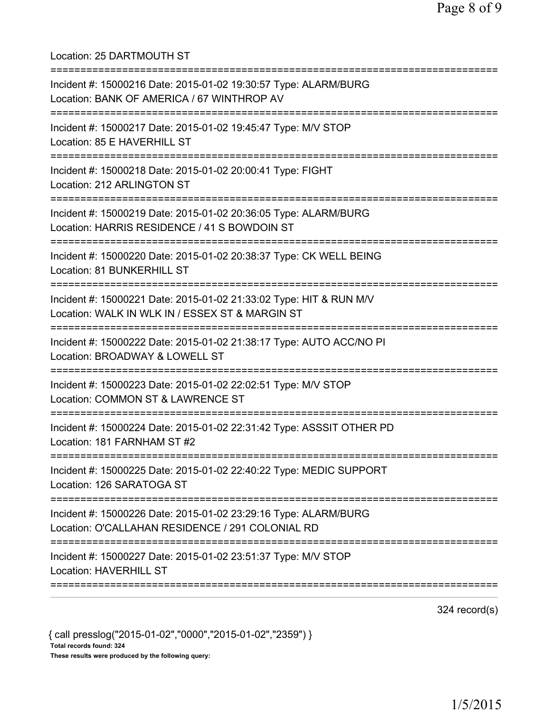Location: 25 DARTMOUTH ST =========================================================================== Incident #: 15000216 Date: 2015-01-02 19:30:57 Type: ALARM/BURG Location: BANK OF AMERICA / 67 WINTHROP AV =========================================================================== Incident #: 15000217 Date: 2015-01-02 19:45:47 Type: M/V STOP Location: 85 E HAVERHILL ST =========================================================================== Incident #: 15000218 Date: 2015-01-02 20:00:41 Type: FIGHT Location: 212 ARLINGTON ST =========================================================================== Incident #: 15000219 Date: 2015-01-02 20:36:05 Type: ALARM/BURG Location: HARRIS RESIDENCE / 41 S BOWDOIN ST =========================================================================== Incident #: 15000220 Date: 2015-01-02 20:38:37 Type: CK WELL BEING Location: 81 BUNKERHILL ST =========================================================================== Incident #: 15000221 Date: 2015-01-02 21:33:02 Type: HIT & RUN M/V Location: WALK IN WLK IN / ESSEX ST & MARGIN ST =========================================================================== Incident #: 15000222 Date: 2015-01-02 21:38:17 Type: AUTO ACC/NO PI Location: BROADWAY & LOWELL ST =========================================================================== Incident #: 15000223 Date: 2015-01-02 22:02:51 Type: M/V STOP Location: COMMON ST & LAWRENCE ST =========================================================================== Incident #: 15000224 Date: 2015-01-02 22:31:42 Type: ASSSIT OTHER PD Location: 181 FARNHAM ST #2 =========================================================================== Incident #: 15000225 Date: 2015-01-02 22:40:22 Type: MEDIC SUPPORT Location: 126 SARATOGA ST =========================================================================== Incident #: 15000226 Date: 2015-01-02 23:29:16 Type: ALARM/BURG Location: O'CALLAHAN RESIDENCE / 291 COLONIAL RD =========================================================================== Incident #: 15000227 Date: 2015-01-02 23:51:37 Type: M/V STOP Location: HAVERHILL ST ===========================================================================

324 record(s)

{ call presslog("2015-01-02","0000","2015-01-02","2359") } Total records found: 324 These results were produced by the following query: